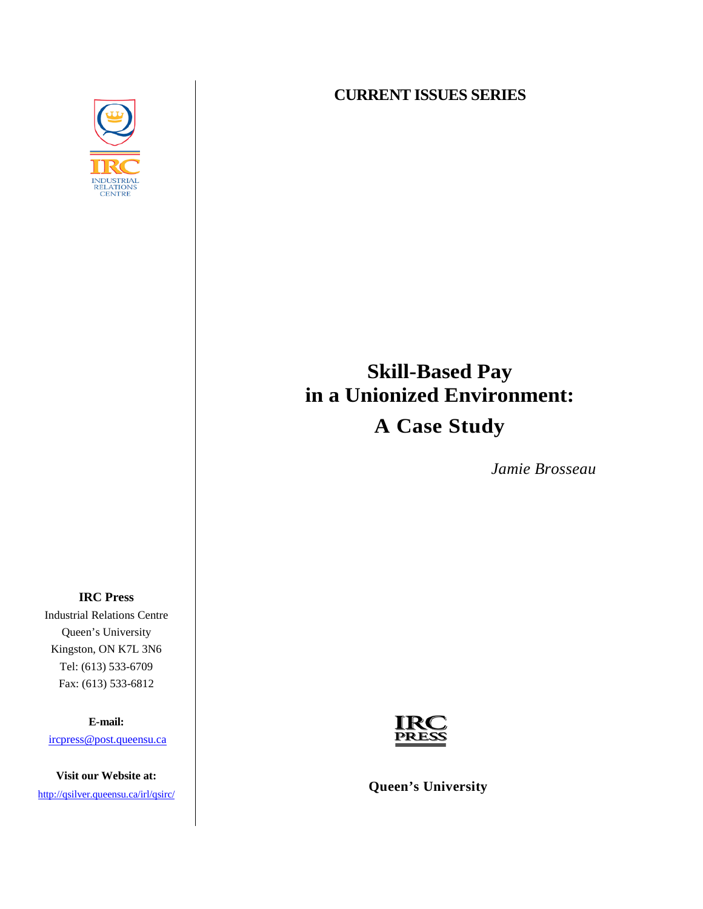

### **CURRENT ISSUES SERIES**

# **Skill-Based Pay in a Unionized Environment: A Case Study**

*Jamie Brosseau*

**IRC Press**  Industrial Relations Centre Queen's University Kingston, ON K7L 3N6 Tel: (613) 533-6709 Fax: (613) 533-6812

**E-mail:**

[ircpress@post.queensu.ca](mailto:ircpress@post.queensu.ca)

**Visit our Website at:** 



<http://qsilver.queensu.ca/irl/qsirc/>*diffusion* Queen's University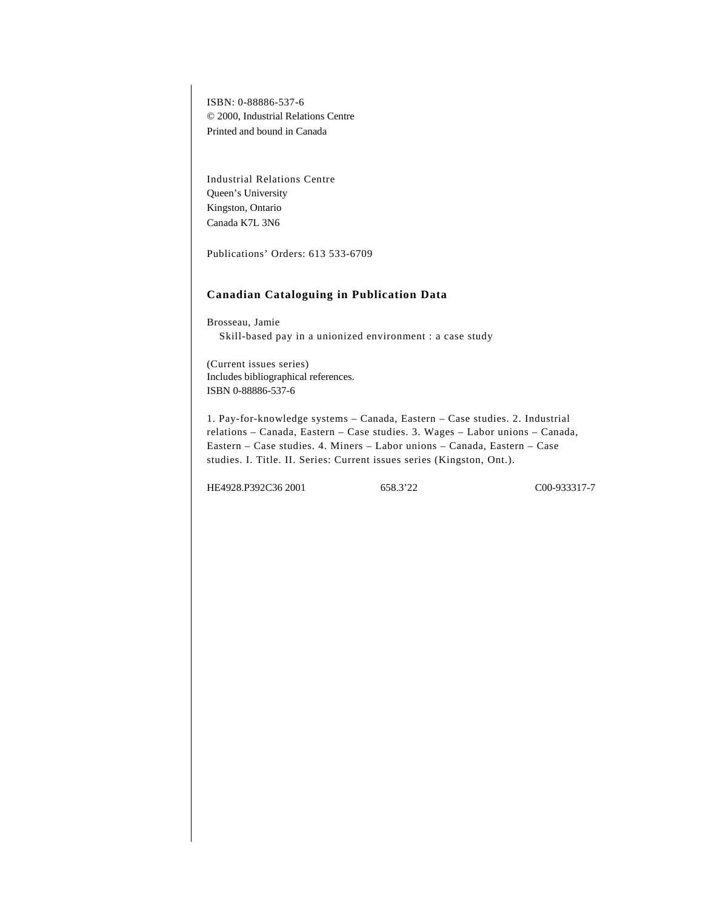ISBN: 0-88886-537-6 © 2000, Industrial Relations Centre Printed and bound in Canada

Industrial Relations Centre Queen's University Kingston, Ontario Canada K7L 3N6

Publications' Orders: 613 533-6709

#### **Canadian Cataloguing in Publication Data**

Brosseau, Jamie Skill-based pay in a unionized environment : a case study

(Current issues series) Includes bibliographical references. ISBN 0-88886-537-6

1. Pay-for-knowledge systems – Canada, Eastern – Case studies. 2. Industrial relations – Canada, Eastern – Case studies. 3. Wages – Labor unions – Canada, Eastern – Case studies. 4. Miners – Labor unions – Canada, Eastern – Case studies. I. Title. II. Series: Current issues series (Kingston, Ont.).

HE4928.P392C36 2001 658.3'22 C00-933317-7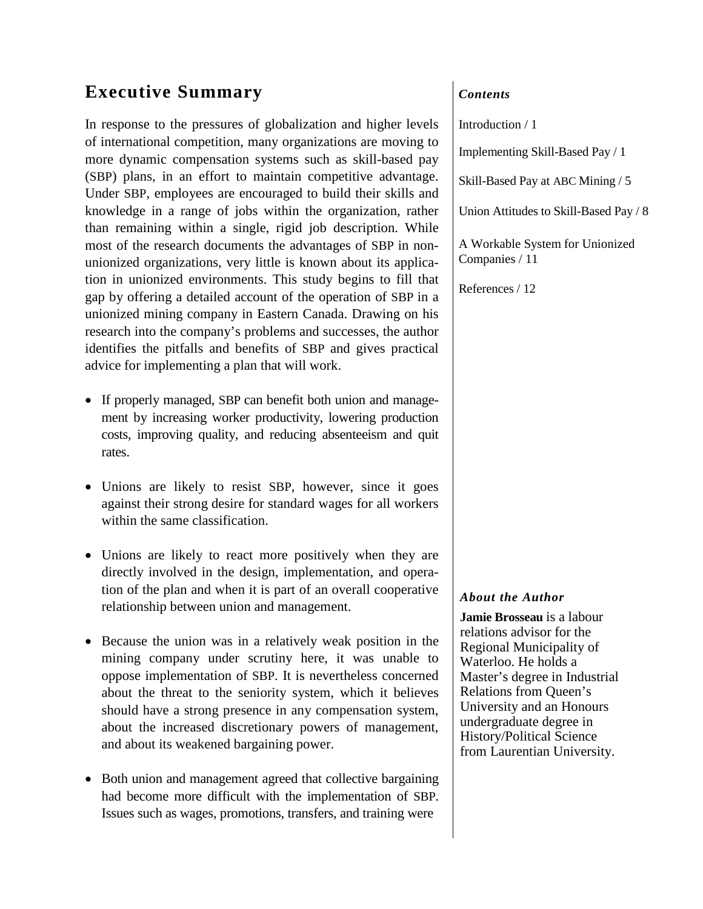# **Executive Summary**

In response to the pressures of globalization and higher levels of international competition, many organizations are moving to more dynamic compensation systems such as skill-based pay (SBP) plans, in an effort to maintain competitive advantage. Under SBP, employees are encouraged to build their skills and knowledge in a range of jobs within the organization, rather than remaining within a single, rigid job description. While most of the research documents the advantages of SBP in nonunionized organizations, very little is known about its application in unionized environments. This study begins to fill that gap by offering a detailed account of the operation of SBP in a unionized mining company in Eastern Canada. Drawing on his research into the company's problems and successes, the author identifies the pitfalls and benefits of SBP and gives practical advice for implementing a plan that will work.

- If properly managed, SBP can benefit both union and management by increasing worker productivity, lowering production costs, improving quality, and reducing absenteeism and quit rates.
- Unions are likely to resist SBP, however, since it goes against their strong desire for standard wages for all workers within the same classification.
- Unions are likely to react more positively when they are directly involved in the design, implementation, and operation of the plan and when it is part of an overall cooperative relationship between union and management.
- Because the union was in a relatively weak position in the mining company under scrutiny here, it was unable to oppose implementation of SBP. It is nevertheless concerned about the threat to the seniority system, which it believes should have a strong presence in any compensation system, about the increased discretionary powers of management, and about its weakened bargaining power.
- Both union and management agreed that collective bargaining had become more difficult with the implementation of SBP. Issues such as wages, promotions, transfers, and training were

### *Contents*

Introduction / 1

Implementing Skill-Based Pay / 1

Skill-Based Pay at ABC Mining / 5

Union Attitudes to Skill-Based Pay / 8

A Workable System for Unionized Companies / 11

References / 12

### *About the Author*

**Jamie Brosseau** is a labour relations advisor for the Regional Municipality of Waterloo. He holds a Master's degree in Industrial Relations from Queen's University and an Honours undergraduate degree in History/Political Science from Laurentian University.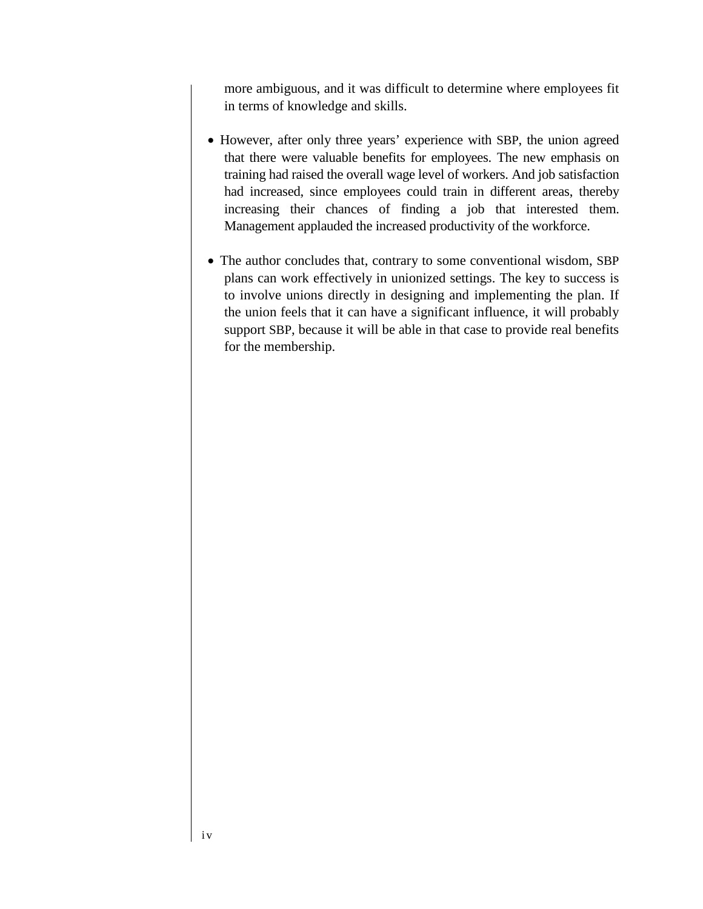more ambiguous, and it was difficult to determine where employees fit in terms of knowledge and skills.

- However, after only three years' experience with SBP, the union agreed that there were valuable benefits for employees. The new emphasis on training had raised the overall wage level of workers. And job satisfaction had increased, since employees could train in different areas, thereby increasing their chances of finding a job that interested them. Management applauded the increased productivity of the workforce.
- The author concludes that, contrary to some conventional wisdom, SBP plans can work effectively in unionized settings. The key to success is to involve unions directly in designing and implementing the plan. If the union feels that it can have a significant influence, it will probably support SBP, because it will be able in that case to provide real benefits for the membership.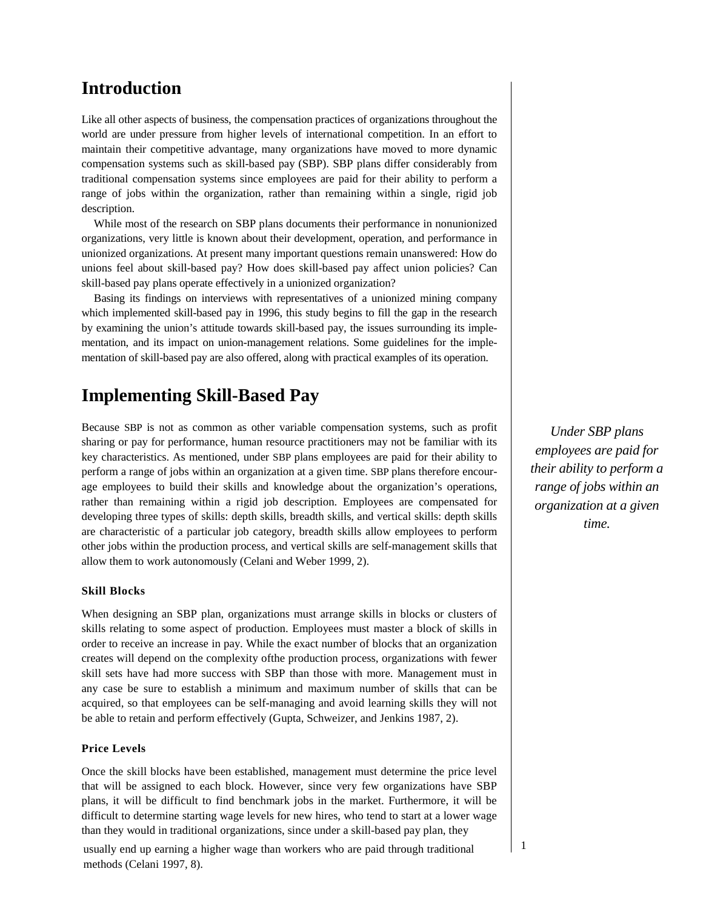## **Introduction**

Like all other aspects of business, the compensation practices of organizations throughout the world are under pressure from higher levels of international competition. In an effort to maintain their competitive advantage, many organizations have moved to more dynamic compensation systems such as skill-based pay (SBP). SBP plans differ considerably from traditional compensation systems since employees are paid for their ability to perform a range of jobs within the organization, rather than remaining within a single, rigid job description.

While most of the research on SBP plans documents their performance in nonunionized organizations, very little is known about their development, operation, and performance in unionized organizations. At present many important questions remain unanswered: How do unions feel about skill-based pay? How does skill-based pay affect union policies? Can skill-based pay plans operate effectively in a unionized organization?

Basing its findings on interviews with representatives of a unionized mining company which implemented skill-based pay in 1996, this study begins to fill the gap in the research by examining the union's attitude towards skill-based pay, the issues surrounding its implementation, and its impact on union-management relations. Some guidelines for the implementation of skill-based pay are also offered, along with practical examples of its operation.

# **Implementing Skill-Based Pay**

Because SBP is not as common as other variable compensation systems, such as profit sharing or pay for performance, human resource practitioners may not be familiar with its key characteristics. As mentioned, under SBP plans employees are paid for their ability to perform a range of jobs within an organization at a given time. SBP plans therefore encourage employees to build their skills and knowledge about the organization's operations, rather than remaining within a rigid job description. Employees are compensated for developing three types of skills: depth skills, breadth skills, and vertical skills: depth skills are characteristic of a particular job category, breadth skills allow employees to perform other jobs within the production process, and vertical skills are self-management skills that allow them to work autonomously (Celani and Weber 1999, 2).

#### **Skill Blocks**

When designing an SBP plan, organizations must arrange skills in blocks or clusters of skills relating to some aspect of production. Employees must master a block of skills in order to receive an increase in pay. While the exact number of blocks that an organization creates will depend on the complexity ofthe production process, organizations with fewer skill sets have had more success with SBP than those with more. Management must in any case be sure to establish a minimum and maximum number of skills that can be acquired, so that employees can be self-managing and avoid learning skills they will not be able to retain and perform effectively (Gupta, Schweizer, and Jenkins 1987, 2).

#### **Price Levels**

Once the skill blocks have been established, management must determine the price level that will be assigned to each block. However, since very few organizations have SBP plans, it will be difficult to find benchmark jobs in the market. Furthermore, it will be difficult to determine starting wage levels for new hires, who tend to start at a lower wage than they would in traditional organizations, since under a skill-based pay plan, they

usually end up earning a higher wage than workers who are paid through traditional methods (Celani 1997, 8).

*Under SBP plans employees are paid for their ability to perform a range of jobs within an organization at a given time.*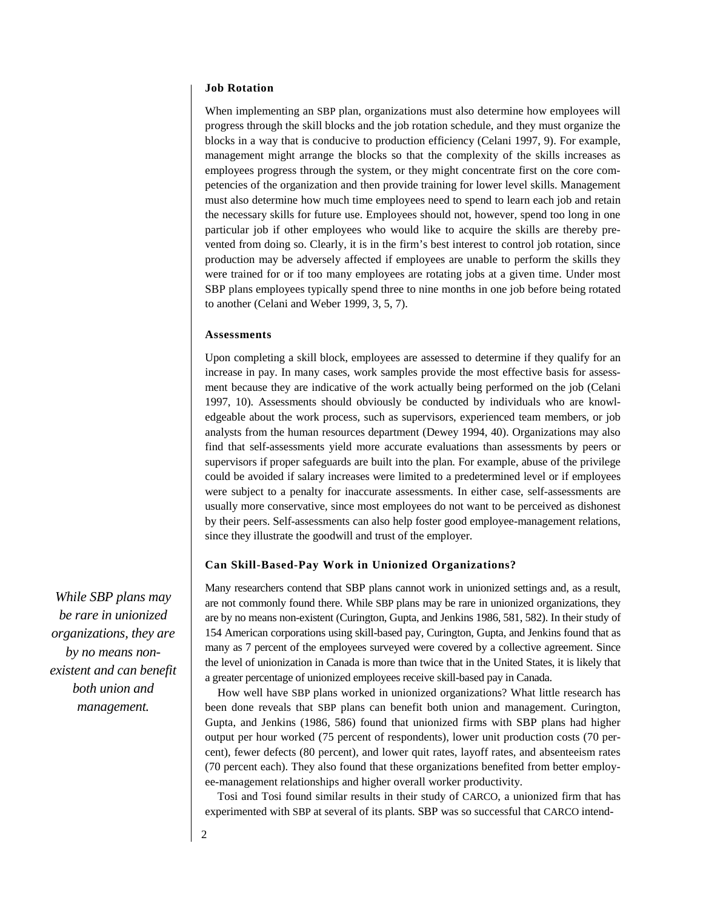### **Job Rotation**

When implementing an SBP plan, organizations must also determine how employees will progress through the skill blocks and the job rotation schedule, and they must organize the blocks in a way that is conducive to production efficiency (Celani 1997, 9). For example, management might arrange the blocks so that the complexity of the skills increases as employees progress through the system, or they might concentrate first on the core competencies of the organization and then provide training for lower level skills. Management must also determine how much time employees need to spend to learn each job and retain the necessary skills for future use. Employees should not, however, spend too long in one particular job if other employees who would like to acquire the skills are thereby prevented from doing so. Clearly, it is in the firm's best interest to control job rotation, since production may be adversely affected if employees are unable to perform the skills they were trained for or if too many employees are rotating jobs at a given time. Under most SBP plans employees typically spend three to nine months in one job before being rotated to another (Celani and Weber 1999, 3, 5, 7).

#### **Assessments**

Upon completing a skill block, employees are assessed to determine if they qualify for an increase in pay. In many cases, work samples provide the most effective basis for assessment because they are indicative of the work actually being performed on the job (Celani 1997, 10). Assessments should obviously be conducted by individuals who are knowledgeable about the work process, such as supervisors, experienced team members, or job analysts from the human resources department (Dewey 1994, 40). Organizations may also find that self-assessments yield more accurate evaluations than assessments by peers or supervisors if proper safeguards are built into the plan. For example, abuse of the privilege could be avoided if salary increases were limited to a predetermined level or if employees were subject to a penalty for inaccurate assessments. In either case, self-assessments are usually more conservative, since most employees do not want to be perceived as dishonest by their peers. Self-assessments can also help foster good employee-management relations, since they illustrate the goodwill and trust of the employer.

#### **Can Skill-Based-Pay Work in Unionized Organizations?**

Many researchers contend that SBP plans cannot work in unionized settings and, as a result, are not commonly found there. While SBP plans may be rare in unionized organizations, they are by no means non-existent (Curington, Gupta, and Jenkins 1986, 581, 582). In their study of 154 American corporations using skill-based pay, Curington, Gupta, and Jenkins found that as many as 7 percent of the employees surveyed were covered by a collective agreement. Since the level of unionization in Canada is more than twice that in the United States, it is likely that a greater percentage of unionized employees receive skill-based pay in Canada.

How well have SBP plans worked in unionized organizations? What little research has been done reveals that SBP plans can benefit both union and management. Curington, Gupta, and Jenkins (1986, 586) found that unionized firms with SBP plans had higher output per hour worked (75 percent of respondents), lower unit production costs (70 percent), fewer defects (80 percent), and lower quit rates, layoff rates, and absenteeism rates (70 percent each). They also found that these organizations benefited from better employee-management relationships and higher overall worker productivity.

Tosi and Tosi found similar results in their study of CARCO, a unionized firm that has experimented with SBP at several of its plants. SBP was so successful that CARCO intend-

*While SBP plans may be rare in unionized organizations, they are by no means nonexistent and can benefit both union and management.*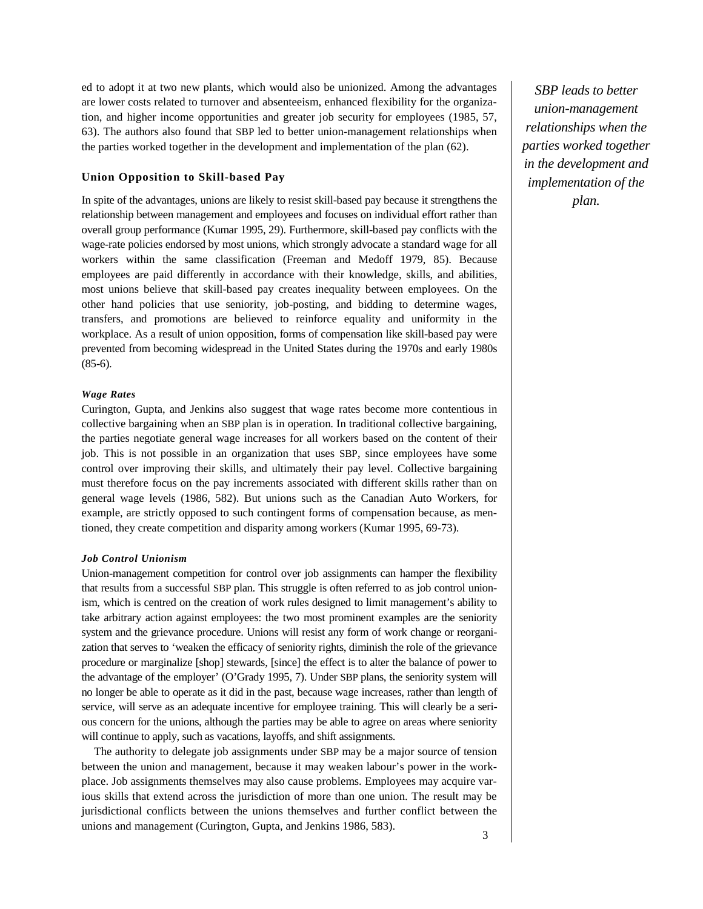ed to adopt it at two new plants, which would also be unionized. Among the advantages are lower costs related to turnover and absenteeism, enhanced flexibility for the organization, and higher income opportunities and greater job security for employees (1985, 57, 63). The authors also found that SBP led to better union-management relationships when the parties worked together in the development and implementation of the plan (62).

#### **Union Opposition to Skill-based Pay**

In spite of the advantages, unions are likely to resist skill-based pay because it strengthens the relationship between management and employees and focuses on individual effort rather than overall group performance (Kumar 1995, 29). Furthermore, skill-based pay conflicts with the wage-rate policies endorsed by most unions, which strongly advocate a standard wage for all workers within the same classification (Freeman and Medoff 1979, 85). Because employees are paid differently in accordance with their knowledge, skills, and abilities, most unions believe that skill-based pay creates inequality between employees. On the other hand policies that use seniority, job-posting, and bidding to determine wages, transfers, and promotions are believed to reinforce equality and uniformity in the workplace. As a result of union opposition, forms of compensation like skill-based pay were prevented from becoming widespread in the United States during the 1970s and early 1980s (85-6).

#### *Wage Rates*

Curington, Gupta, and Jenkins also suggest that wage rates become more contentious in collective bargaining when an SBP plan is in operation. In traditional collective bargaining, the parties negotiate general wage increases for all workers based on the content of their job. This is not possible in an organization that uses SBP, since employees have some control over improving their skills, and ultimately their pay level. Collective bargaining must therefore focus on the pay increments associated with different skills rather than on general wage levels (1986, 582). But unions such as the Canadian Auto Workers, for example, are strictly opposed to such contingent forms of compensation because, as mentioned, they create competition and disparity among workers (Kumar 1995, 69-73).

#### *Job Control Unionism*

Union-management competition for control over job assignments can hamper the flexibility that results from a successful SBP plan. This struggle is often referred to as job control unionism, which is centred on the creation of work rules designed to limit management's ability to take arbitrary action against employees: the two most prominent examples are the seniority system and the grievance procedure. Unions will resist any form of work change or reorganization that serves to 'weaken the efficacy of seniority rights, diminish the role of the grievance procedure or marginalize [shop] stewards, [since] the effect is to alter the balance of power to the advantage of the employer' (O'Grady 1995, 7). Under SBP plans, the seniority system will no longer be able to operate as it did in the past, because wage increases, rather than length of service, will serve as an adequate incentive for employee training. This will clearly be a serious concern for the unions, although the parties may be able to agree on areas where seniority will continue to apply, such as vacations, layoffs, and shift assignments.

The authority to delegate job assignments under SBP may be a major source of tension between the union and management, because it may weaken labour's power in the workplace. Job assignments themselves may also cause problems. Employees may acquire various skills that extend across the jurisdiction of more than one union. The result may be jurisdictional conflicts between the unions themselves and further conflict between the unions and management (Curington, Gupta, and Jenkins 1986, 583).

*SBP leads to better union-management relationships when the parties worked together in the development and implementation of the plan.*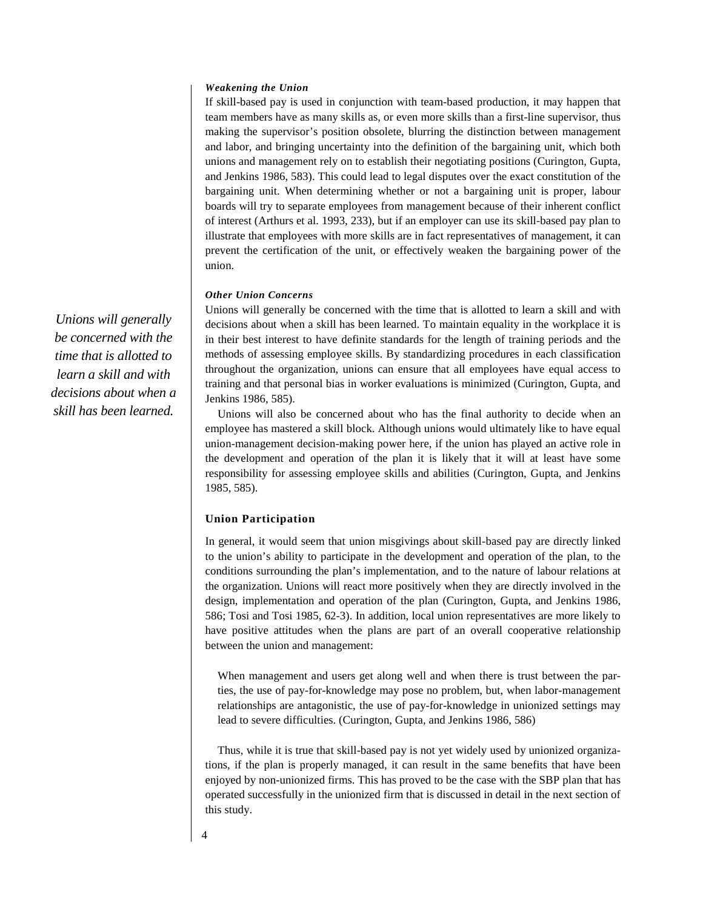#### *Weakening the Union*

If skill-based pay is used in conjunction with team-based production, it may happen that team members have as many skills as, or even more skills than a first-line supervisor, thus making the supervisor's position obsolete, blurring the distinction between management and labor, and bringing uncertainty into the definition of the bargaining unit, which both unions and management rely on to establish their negotiating positions (Curington, Gupta, and Jenkins 1986, 583). This could lead to legal disputes over the exact constitution of the bargaining unit. When determining whether or not a bargaining unit is proper, labour boards will try to separate employees from management because of their inherent conflict of interest (Arthurs et al. 1993, 233), but if an employer can use its skill-based pay plan to illustrate that employees with more skills are in fact representatives of management, it can prevent the certification of the unit, or effectively weaken the bargaining power of the union.

#### *Other Union Concerns*

Unions will generally be concerned with the time that is allotted to learn a skill and with decisions about when a skill has been learned. To maintain equality in the workplace it is in their best interest to have definite standards for the length of training periods and the methods of assessing employee skills. By standardizing procedures in each classification throughout the organization, unions can ensure that all employees have equal access to training and that personal bias in worker evaluations is minimized (Curington, Gupta, and Jenkins 1986, 585).

Unions will also be concerned about who has the final authority to decide when an employee has mastered a skill block. Although unions would ultimately like to have equal union-management decision-making power here, if the union has played an active role in the development and operation of the plan it is likely that it will at least have some responsibility for assessing employee skills and abilities (Curington, Gupta, and Jenkins 1985, 585).

#### **Union Participation**

In general, it would seem that union misgivings about skill-based pay are directly linked to the union's ability to participate in the development and operation of the plan, to the conditions surrounding the plan's implementation, and to the nature of labour relations at the organization. Unions will react more positively when they are directly involved in the design, implementation and operation of the plan (Curington, Gupta, and Jenkins 1986, 586; Tosi and Tosi 1985, 62-3). In addition, local union representatives are more likely to have positive attitudes when the plans are part of an overall cooperative relationship between the union and management:

When management and users get along well and when there is trust between the parties, the use of pay-for-knowledge may pose no problem, but, when labor-management relationships are antagonistic, the use of pay-for-knowledge in unionized settings may lead to severe difficulties. (Curington, Gupta, and Jenkins 1986, 586)

Thus, while it is true that skill-based pay is not yet widely used by unionized organizations, if the plan is properly managed, it can result in the same benefits that have been enjoyed by non-unionized firms. This has proved to be the case with the SBP plan that has operated successfully in the unionized firm that is discussed in detail in the next section of this study.

*Unions will generally be concerned with the time that is allotted to learn a skill and with decisions about when a skill has been learned.*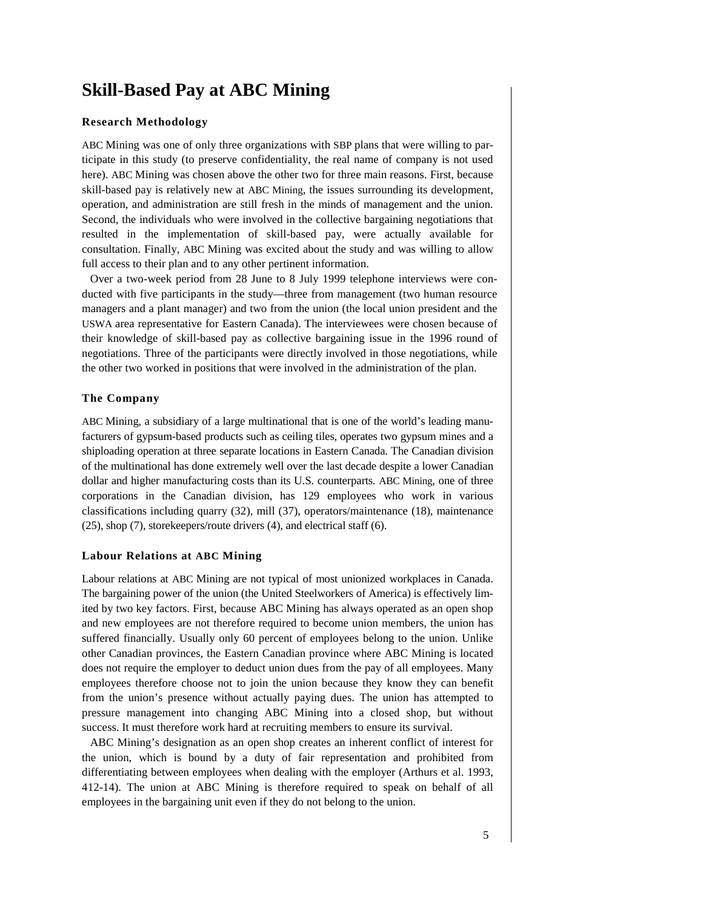# **Skill-Based Pay at ABC Mining**

#### **Research Methodology**

ABC Mining was one of only three organizations with SBP plans that were willing to participate in this study (to preserve confidentiality, the real name of company is not used here). ABC Mining was chosen above the other two for three main reasons. First, because skill-based pay is relatively new at ABC Mining, the issues surrounding its development, operation, and administration are still fresh in the minds of management and the union. Second, the individuals who were involved in the collective bargaining negotiations that resulted in the implementation of skill-based pay, were actually available for consultation. Finally, ABC Mining was excited about the study and was willing to allow full access to their plan and to any other pertinent information.

Over a two-week period from 28 June to 8 July 1999 telephone interviews were conducted with five participants in the study—three from management (two human resource managers and a plant manager) and two from the union (the local union president and the USWA area representative for Eastern Canada). The interviewees were chosen because of their knowledge of skill-based pay as collective bargaining issue in the 1996 round of negotiations. Three of the participants were directly involved in those negotiations, while the other two worked in positions that were involved in the administration of the plan.

#### **The Company**

ABC Mining, a subsidiary of a large multinational that is one of the world's leading manufacturers of gypsum-based products such as ceiling tiles, operates two gypsum mines and a shiploading operation at three separate locations in Eastern Canada. The Canadian division of the multinational has done extremely well over the last decade despite a lower Canadian dollar and higher manufacturing costs than its U.S. counterparts. ABC Mining, one of three corporations in the Canadian division, has 129 employees who work in various classifications including quarry (32), mill (37), operators/maintenance (18), maintenance (25), shop (7), storekeepers/route drivers (4), and electrical staff (6).

#### **Labour Relations at ABC Mining**

Labour relations at ABC Mining are not typical of most unionized workplaces in Canada. The bargaining power of the union (the United Steelworkers of America) is effectively limited by two key factors. First, because ABC Mining has always operated as an open shop and new employees are not therefore required to become union members, the union has suffered financially. Usually only 60 percent of employees belong to the union. Unlike other Canadian provinces, the Eastern Canadian province where ABC Mining is located does not require the employer to deduct union dues from the pay of all employees. Many employees therefore choose not to join the union because they know they can benefit from the union's presence without actually paying dues. The union has attempted to pressure management into changing ABC Mining into a closed shop, but without success. It must therefore work hard at recruiting members to ensure its survival.

ABC Mining's designation as an open shop creates an inherent conflict of interest for the union, which is bound by a duty of fair representation and prohibited from differentiating between employees when dealing with the employer (Arthurs et al. 1993, 412-14). The union at ABC Mining is therefore required to speak on behalf of all employees in the bargaining unit even if they do not belong to the union.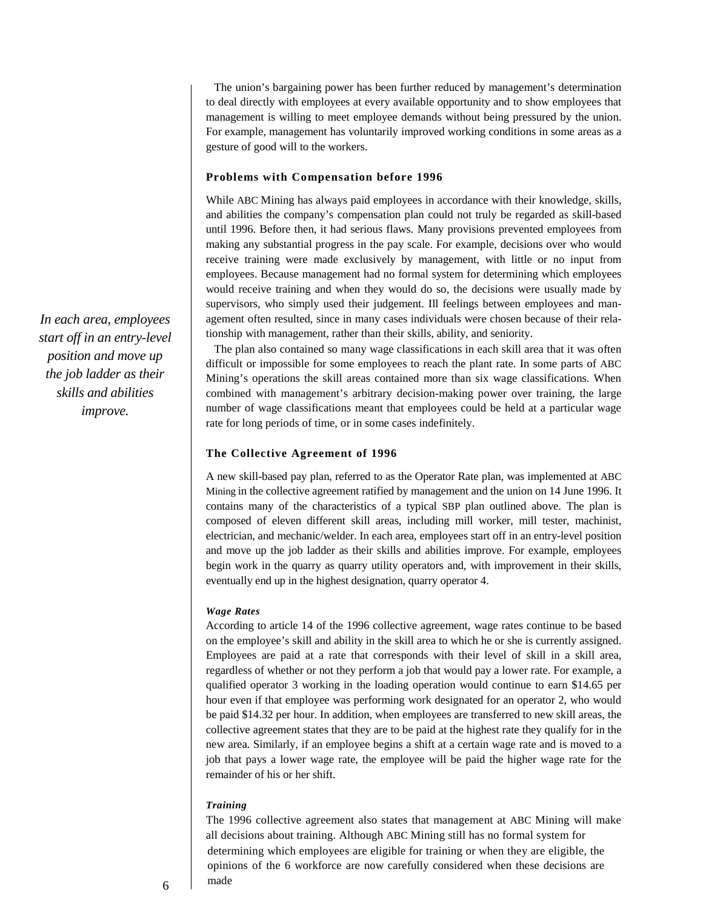The union's bargaining power has been further reduced by management's determination to deal directly with employees at every available opportunity and to show employees that management is willing to meet employee demands without being pressured by the union. For example, management has voluntarily improved working conditions in some areas as a gesture of good will to the workers.

#### **Problems with Compensation before 1996**

While ABC Mining has always paid employees in accordance with their knowledge, skills, and abilities the company's compensation plan could not truly be regarded as skill-based until 1996. Before then, it had serious flaws. Many provisions prevented employees from making any substantial progress in the pay scale. For example, decisions over who would receive training were made exclusively by management, with little or no input from employees. Because management had no formal system for determining which employees would receive training and when they would do so, the decisions were usually made by supervisors, who simply used their judgement. Ill feelings between employees and management often resulted, since in many cases individuals were chosen because of their relationship with management, rather than their skills, ability, and seniority.

The plan also contained so many wage classifications in each skill area that it was often difficult or impossible for some employees to reach the plant rate. In some parts of ABC Mining's operations the skill areas contained more than six wage classifications. When combined with management's arbitrary decision-making power over training, the large number of wage classifications meant that employees could be held at a particular wage rate for long periods of time, or in some cases indefinitely.

#### **The Collective Agreement of 1996**

A new skill-based pay plan, referred to as the Operator Rate plan, was implemented at ABC Mining in the collective agreement ratified by management and the union on 14 June 1996. It contains many of the characteristics of a typical SBP plan outlined above. The plan is composed of eleven different skill areas, including mill worker, mill tester, machinist, electrician, and mechanic/welder. In each area, employees start off in an entry-level position and move up the job ladder as their skills and abilities improve. For example, employees begin work in the quarry as quarry utility operators and, with improvement in their skills, eventually end up in the highest designation, quarry operator 4.

#### *Wage Rates*

According to article 14 of the 1996 collective agreement, wage rates continue to be based on the employee's skill and ability in the skill area to which he or she is currently assigned. Employees are paid at a rate that corresponds with their level of skill in a skill area, regardless of whether or not they perform a job that would pay a lower rate. For example, a qualified operator 3 working in the loading operation would continue to earn \$14.65 per hour even if that employee was performing work designated for an operator 2, who would be paid \$14.32 per hour. In addition, when employees are transferred to new skill areas, the collective agreement states that they are to be paid at the highest rate they qualify for in the new area. Similarly, if an employee begins a shift at a certain wage rate and is moved to a job that pays a lower wage rate, the employee will be paid the higher wage rate for the remainder of his or her shift.

#### *Training*

The 1996 collective agreement also states that management at ABC Mining will make all decisions about training. Although ABC Mining still has no formal system for determining which employees are eligible for training or when they are eligible, the opinions of the 6 workforce are now carefully considered when these decisions are  $6 \text{}$  made

*In each area, employees start off in an entry-level position and move up the job ladder as their skills and abilities improve.*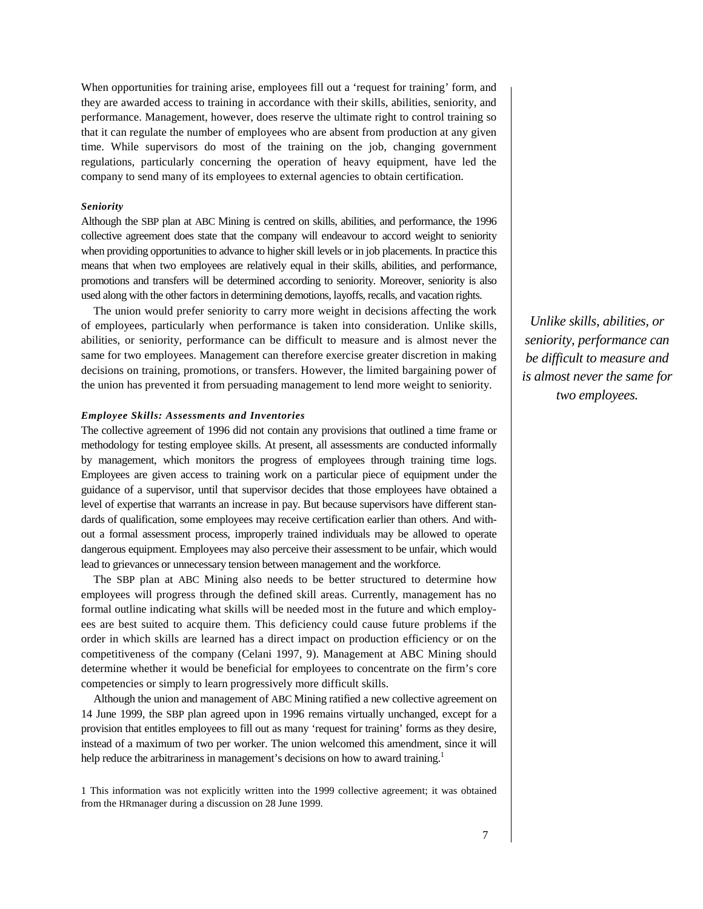When opportunities for training arise, employees fill out a 'request for training' form, and they are awarded access to training in accordance with their skills, abilities, seniority, and performance. Management, however, does reserve the ultimate right to control training so that it can regulate the number of employees who are absent from production at any given time. While supervisors do most of the training on the job, changing government regulations, particularly concerning the operation of heavy equipment, have led the company to send many of its employees to external agencies to obtain certification.

#### *Seniority*

Although the SBP plan at ABC Mining is centred on skills, abilities, and performance, the 1996 collective agreement does state that the company will endeavour to accord weight to seniority when providing opportunities to advance to higher skill levels or in job placements. In practice this means that when two employees are relatively equal in their skills, abilities, and performance, promotions and transfers will be determined according to seniority. Moreover, seniority is also used along with the other factors in determining demotions, layoffs, recalls, and vacation rights.

The union would prefer seniority to carry more weight in decisions affecting the work of employees, particularly when performance is taken into consideration. Unlike skills, abilities, or seniority, performance can be difficult to measure and is almost never the same for two employees. Management can therefore exercise greater discretion in making decisions on training, promotions, or transfers. However, the limited bargaining power of the union has prevented it from persuading management to lend more weight to seniority.

#### *Employee Skills: Assessments and Inventories*

The collective agreement of 1996 did not contain any provisions that outlined a time frame or methodology for testing employee skills. At present, all assessments are conducted informally by management, which monitors the progress of employees through training time logs. Employees are given access to training work on a particular piece of equipment under the guidance of a supervisor, until that supervisor decides that those employees have obtained a level of expertise that warrants an increase in pay. But because supervisors have different standards of qualification, some employees may receive certification earlier than others. And without a formal assessment process, improperly trained individuals may be allowed to operate dangerous equipment. Employees may also perceive their assessment to be unfair, which would lead to grievances or unnecessary tension between management and the workforce.

The SBP plan at ABC Mining also needs to be better structured to determine how employees will progress through the defined skill areas. Currently, management has no formal outline indicating what skills will be needed most in the future and which employees are best suited to acquire them. This deficiency could cause future problems if the order in which skills are learned has a direct impact on production efficiency or on the competitiveness of the company (Celani 1997, 9). Management at ABC Mining should determine whether it would be beneficial for employees to concentrate on the firm's core competencies or simply to learn progressively more difficult skills.

Although the union and management of ABC Mining ratified a new collective agreement on 14 June 1999, the SBP plan agreed upon in 1996 remains virtually unchanged, except for a provision that entitles employees to fill out as many 'request for training' forms as they desire, instead of a maximum of two per worker. The union welcomed this amendment, since it will help reduce the arbitrariness in management's decisions on how to award training.<sup>1</sup>

1 This information was not explicitly written into the 1999 collective agreement; it was obtained from the HRmanager during a discussion on 28 June 1999.

*Unlike skills, abilities, or seniority, performance can be difficult to measure and is almost never the same for two employees.*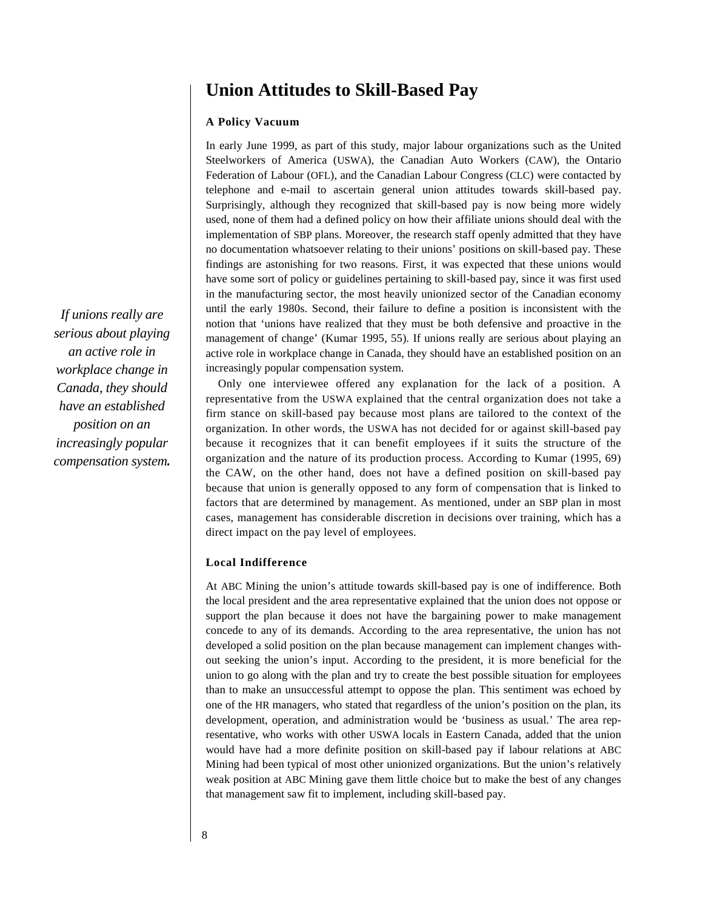# **Union Attitudes to Skill-Based Pay**

### **A Policy Vacuum**

In early June 1999, as part of this study, major labour organizations such as the United Steelworkers of America (USWA), the Canadian Auto Workers (CAW), the Ontario Federation of Labour (OFL), and the Canadian Labour Congress (CLC) were contacted by telephone and e-mail to ascertain general union attitudes towards skill-based pay. Surprisingly, although they recognized that skill-based pay is now being more widely used, none of them had a defined policy on how their affiliate unions should deal with the implementation of SBP plans. Moreover, the research staff openly admitted that they have no documentation whatsoever relating to their unions' positions on skill-based pay. These findings are astonishing for two reasons. First, it was expected that these unions would have some sort of policy or guidelines pertaining to skill-based pay, since it was first used in the manufacturing sector, the most heavily unionized sector of the Canadian economy until the early 1980s. Second, their failure to define a position is inconsistent with the notion that 'unions have realized that they must be both defensive and proactive in the management of change' (Kumar 1995, 55). If unions really are serious about playing an active role in workplace change in Canada, they should have an established position on an increasingly popular compensation system.

Only one interviewee offered any explanation for the lack of a position. A representative from the USWA explained that the central organization does not take a firm stance on skill-based pay because most plans are tailored to the context of the organization. In other words, the USWA has not decided for or against skill-based pay because it recognizes that it can benefit employees if it suits the structure of the organization and the nature of its production process. According to Kumar (1995, 69) the CAW, on the other hand, does not have a defined position on skill-based pay because that union is generally opposed to any form of compensation that is linked to factors that are determined by management. As mentioned, under an SBP plan in most cases, management has considerable discretion in decisions over training, which has a direct impact on the pay level of employees.

### **Local Indifference**

At ABC Mining the union's attitude towards skill-based pay is one of indifference. Both the local president and the area representative explained that the union does not oppose or support the plan because it does not have the bargaining power to make management concede to any of its demands. According to the area representative, the union has not developed a solid position on the plan because management can implement changes without seeking the union's input. According to the president, it is more beneficial for the union to go along with the plan and try to create the best possible situation for employees than to make an unsuccessful attempt to oppose the plan. This sentiment was echoed by one of the HR managers, who stated that regardless of the union's position on the plan, its development, operation, and administration would be 'business as usual.' The area representative, who works with other USWA locals in Eastern Canada, added that the union would have had a more definite position on skill-based pay if labour relations at ABC Mining had been typical of most other unionized organizations. But the union's relatively weak position at ABC Mining gave them little choice but to make the best of any changes that management saw fit to implement, including skill-based pay.

*If unions really are serious about playing an active role in workplace change in Canada, they should have an established position on an increasingly popular compensation system.*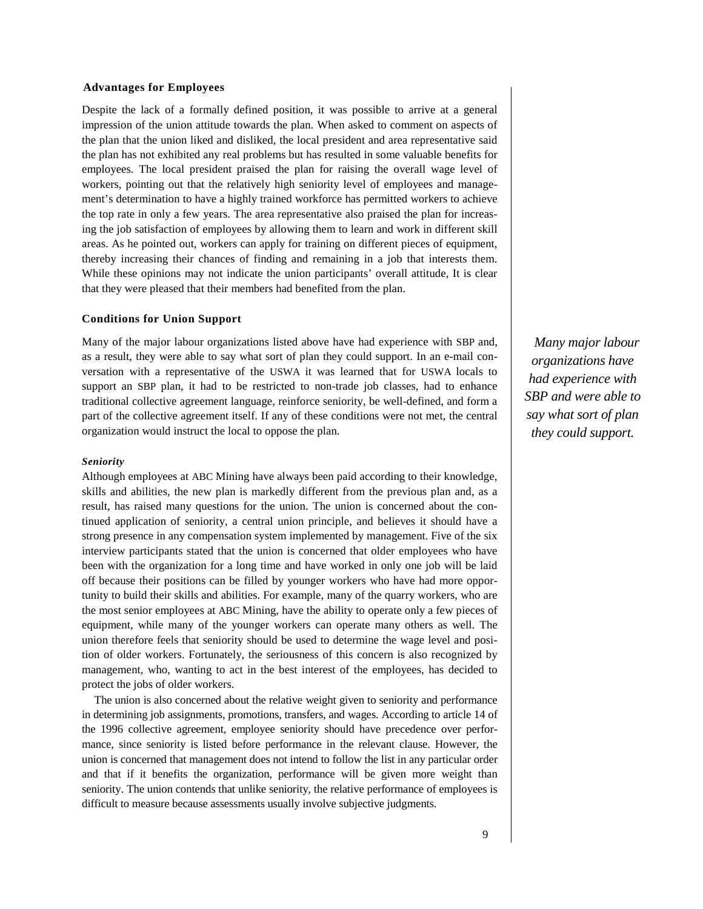#### **Advantages for Employees**

Despite the lack of a formally defined position, it was possible to arrive at a general impression of the union attitude towards the plan. When asked to comment on aspects of the plan that the union liked and disliked, the local president and area representative said the plan has not exhibited any real problems but has resulted in some valuable benefits for employees. The local president praised the plan for raising the overall wage level of workers, pointing out that the relatively high seniority level of employees and management's determination to have a highly trained workforce has permitted workers to achieve the top rate in only a few years. The area representative also praised the plan for increasing the job satisfaction of employees by allowing them to learn and work in different skill areas. As he pointed out, workers can apply for training on different pieces of equipment, thereby increasing their chances of finding and remaining in a job that interests them. While these opinions may not indicate the union participants' overall attitude, It is clear that they were pleased that their members had benefited from the plan.

#### **Conditions for Union Support**

Many of the major labour organizations listed above have had experience with SBP and, as a result, they were able to say what sort of plan they could support. In an e-mail conversation with a representative of the USWA it was learned that for USWA locals to support an SBP plan, it had to be restricted to non-trade job classes, had to enhance traditional collective agreement language, reinforce seniority, be well-defined, and form a part of the collective agreement itself. If any of these conditions were not met, the central organization would instruct the local to oppose the plan.

#### *Seniority*

Although employees at ABC Mining have always been paid according to their knowledge, skills and abilities, the new plan is markedly different from the previous plan and, as a result, has raised many questions for the union. The union is concerned about the continued application of seniority, a central union principle, and believes it should have a strong presence in any compensation system implemented by management. Five of the six interview participants stated that the union is concerned that older employees who have been with the organization for a long time and have worked in only one job will be laid off because their positions can be filled by younger workers who have had more opportunity to build their skills and abilities. For example, many of the quarry workers, who are the most senior employees at ABC Mining, have the ability to operate only a few pieces of equipment, while many of the younger workers can operate many others as well. The union therefore feels that seniority should be used to determine the wage level and position of older workers. Fortunately, the seriousness of this concern is also recognized by management, who, wanting to act in the best interest of the employees, has decided to protect the jobs of older workers.

The union is also concerned about the relative weight given to seniority and performance in determining job assignments, promotions, transfers, and wages. According to article 14 of the 1996 collective agreement, employee seniority should have precedence over performance, since seniority is listed before performance in the relevant clause. However, the union is concerned that management does not intend to follow the list in any particular order and that if it benefits the organization, performance will be given more weight than seniority. The union contends that unlike seniority, the relative performance of employees is difficult to measure because assessments usually involve subjective judgments.

*Many major labour organizations have had experience with SBP and were able to say what sort of plan they could support.*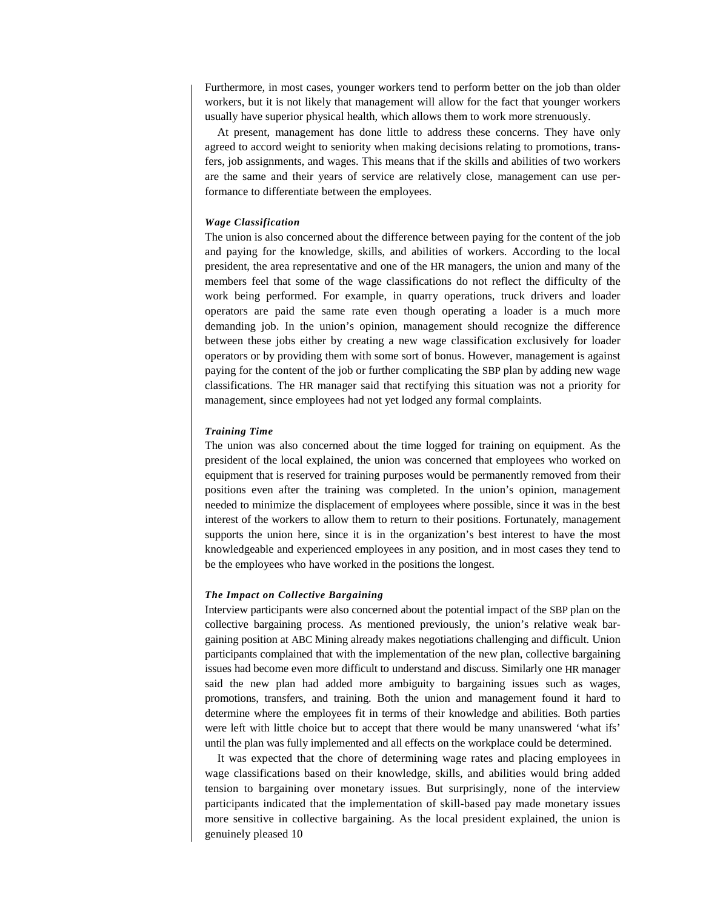Furthermore, in most cases, younger workers tend to perform better on the job than older workers, but it is not likely that management will allow for the fact that younger workers usually have superior physical health, which allows them to work more strenuously.

At present, management has done little to address these concerns. They have only agreed to accord weight to seniority when making decisions relating to promotions, transfers, job assignments, and wages. This means that if the skills and abilities of two workers are the same and their years of service are relatively close, management can use performance to differentiate between the employees.

#### *Wage Classification*

The union is also concerned about the difference between paying for the content of the job and paying for the knowledge, skills, and abilities of workers. According to the local president, the area representative and one of the HR managers, the union and many of the members feel that some of the wage classifications do not reflect the difficulty of the work being performed. For example, in quarry operations, truck drivers and loader operators are paid the same rate even though operating a loader is a much more demanding job. In the union's opinion, management should recognize the difference between these jobs either by creating a new wage classification exclusively for loader operators or by providing them with some sort of bonus. However, management is against paying for the content of the job or further complicating the SBP plan by adding new wage classifications. The HR manager said that rectifying this situation was not a priority for management, since employees had not yet lodged any formal complaints.

#### *Training Time*

The union was also concerned about the time logged for training on equipment. As the president of the local explained, the union was concerned that employees who worked on equipment that is reserved for training purposes would be permanently removed from their positions even after the training was completed. In the union's opinion, management needed to minimize the displacement of employees where possible, since it was in the best interest of the workers to allow them to return to their positions. Fortunately, management supports the union here, since it is in the organization's best interest to have the most knowledgeable and experienced employees in any position, and in most cases they tend to be the employees who have worked in the positions the longest.

#### *The Impact on Collective Bargaining*

Interview participants were also concerned about the potential impact of the SBP plan on the collective bargaining process. As mentioned previously, the union's relative weak bargaining position at ABC Mining already makes negotiations challenging and difficult. Union participants complained that with the implementation of the new plan, collective bargaining issues had become even more difficult to understand and discuss. Similarly one HR manager said the new plan had added more ambiguity to bargaining issues such as wages, promotions, transfers, and training. Both the union and management found it hard to determine where the employees fit in terms of their knowledge and abilities. Both parties were left with little choice but to accept that there would be many unanswered 'what ifs' until the plan was fully implemented and all effects on the workplace could be determined.

It was expected that the chore of determining wage rates and placing employees in wage classifications based on their knowledge, skills, and abilities would bring added tension to bargaining over monetary issues. But surprisingly, none of the interview participants indicated that the implementation of skill-based pay made monetary issues more sensitive in collective bargaining. As the local president explained, the union is genuinely pleased 10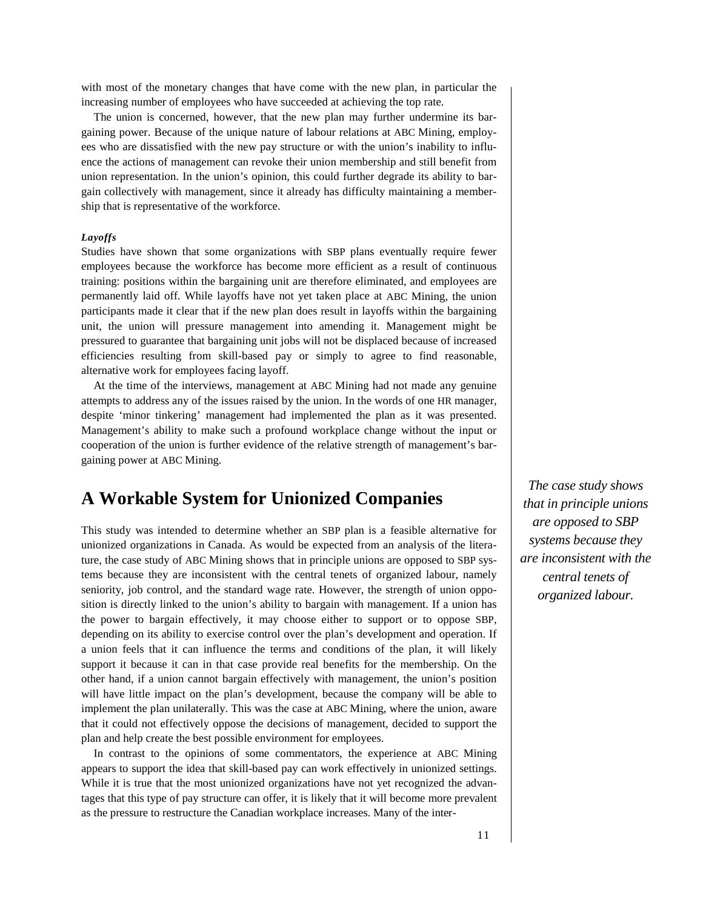with most of the monetary changes that have come with the new plan, in particular the increasing number of employees who have succeeded at achieving the top rate.

The union is concerned, however, that the new plan may further undermine its bargaining power. Because of the unique nature of labour relations at ABC Mining, employees who are dissatisfied with the new pay structure or with the union's inability to influence the actions of management can revoke their union membership and still benefit from union representation. In the union's opinion, this could further degrade its ability to bargain collectively with management, since it already has difficulty maintaining a membership that is representative of the workforce.

#### *Layoffs*

Studies have shown that some organizations with SBP plans eventually require fewer employees because the workforce has become more efficient as a result of continuous training: positions within the bargaining unit are therefore eliminated, and employees are permanently laid off. While layoffs have not yet taken place at ABC Mining, the union participants made it clear that if the new plan does result in layoffs within the bargaining unit, the union will pressure management into amending it. Management might be pressured to guarantee that bargaining unit jobs will not be displaced because of increased efficiencies resulting from skill-based pay or simply to agree to find reasonable, alternative work for employees facing layoff.

At the time of the interviews, management at ABC Mining had not made any genuine attempts to address any of the issues raised by the union. In the words of one HR manager, despite 'minor tinkering' management had implemented the plan as it was presented. Management's ability to make such a profound workplace change without the input or cooperation of the union is further evidence of the relative strength of management's bargaining power at ABC Mining.

### **A Workable System for Unionized Companies**

This study was intended to determine whether an SBP plan is a feasible alternative for unionized organizations in Canada. As would be expected from an analysis of the literature, the case study of ABC Mining shows that in principle unions are opposed to SBP systems because they are inconsistent with the central tenets of organized labour, namely seniority, job control, and the standard wage rate. However, the strength of union opposition is directly linked to the union's ability to bargain with management. If a union has the power to bargain effectively, it may choose either to support or to oppose SBP, depending on its ability to exercise control over the plan's development and operation. If a union feels that it can influence the terms and conditions of the plan, it will likely support it because it can in that case provide real benefits for the membership. On the other hand, if a union cannot bargain effectively with management, the union's position will have little impact on the plan's development, because the company will be able to implement the plan unilaterally. This was the case at ABC Mining, where the union, aware that it could not effectively oppose the decisions of management, decided to support the plan and help create the best possible environment for employees.

In contrast to the opinions of some commentators, the experience at ABC Mining appears to support the idea that skill-based pay can work effectively in unionized settings. While it is true that the most unionized organizations have not yet recognized the advantages that this type of pay structure can offer, it is likely that it will become more prevalent as the pressure to restructure the Canadian workplace increases. Many of the inter-

*The case study shows that in principle unions are opposed to SBP systems because they are inconsistent with the central tenets of organized labour.*